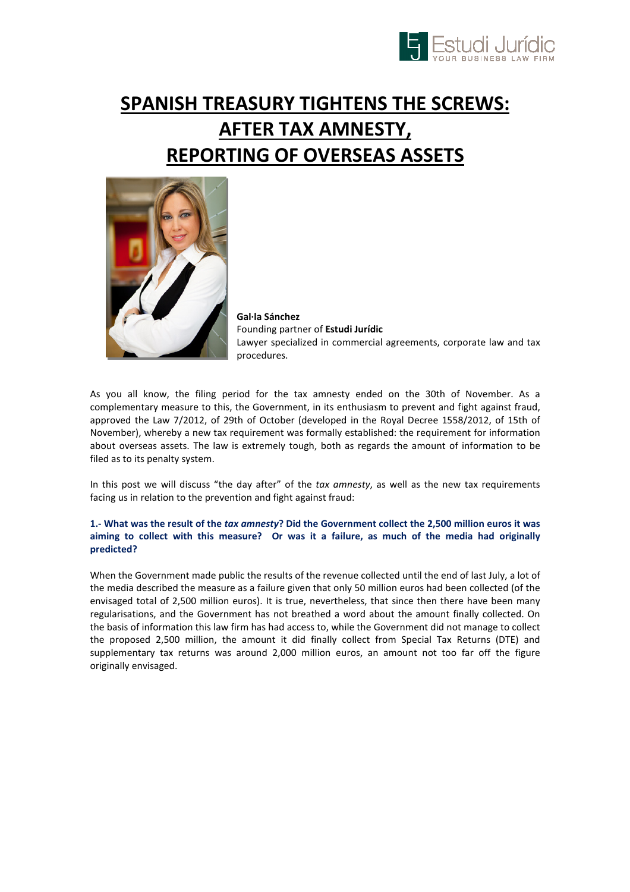

# SPANISH TREASURY TIGHTENS THE SCREWS: AFTER TAX AMNESTY, REPORTING OF OVERSEAS ASSETS



Gal·la Sánchez Founding partner of Estudi Jurídic Lawyer specialized in commercial agreements, corporate law and tax procedures.

As you all know, the filing period for the tax amnesty ended on the 30th of November. As a complementary measure to this, the Government, in its enthusiasm to prevent and fight against fraud, approved the Law 7/2012, of 29th of October (developed in the Royal Decree 1558/2012, of 15th of November), whereby a new tax requirement was formally established: the requirement for information about overseas assets. The law is extremely tough, both as regards the amount of information to be filed as to its penalty system.

In this post we will discuss "the day after" of the tax amnesty, as well as the new tax requirements facing us in relation to the prevention and fight against fraud:

## 1.- What was the result of the tax amnesty? Did the Government collect the 2,500 million euros it was aiming to collect with this measure? Or was it a failure, as much of the media had originally predicted?

When the Government made public the results of the revenue collected until the end of last July, a lot of the media described the measure as a failure given that only 50 million euros had been collected (of the envisaged total of 2,500 million euros). It is true, nevertheless, that since then there have been many regularisations, and the Government has not breathed a word about the amount finally collected. On the basis of information this law firm has had access to, while the Government did not manage to collect the proposed 2,500 million, the amount it did finally collect from Special Tax Returns (DTE) and supplementary tax returns was around 2,000 million euros, an amount not too far off the figure originally envisaged.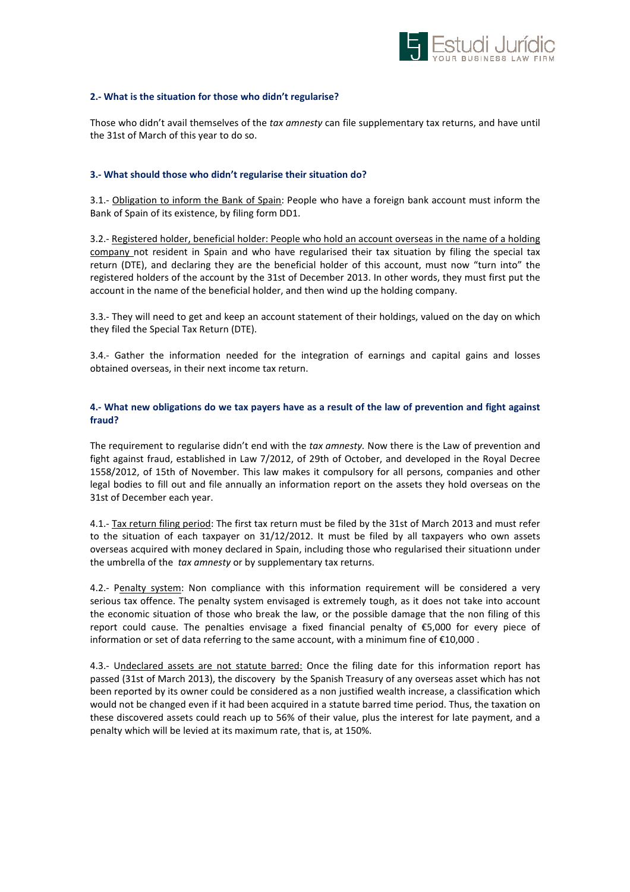

#### 2.- What is the situation for those who didn't regularise?

Those who didn't avail themselves of the tax amnesty can file supplementary tax returns, and have until the 31st of March of this year to do so.

#### 3.- What should those who didn't regularise their situation do?

3.1.- Obligation to inform the Bank of Spain: People who have a foreign bank account must inform the Bank of Spain of its existence, by filing form DD1.

3.2.- Registered holder, beneficial holder: People who hold an account overseas in the name of a holding company not resident in Spain and who have regularised their tax situation by filing the special tax return (DTE), and declaring they are the beneficial holder of this account, must now "turn into" the registered holders of the account by the 31st of December 2013. In other words, they must first put the account in the name of the beneficial holder, and then wind up the holding company.

3.3.- They will need to get and keep an account statement of their holdings, valued on the day on which they filed the Special Tax Return (DTE).

3.4.- Gather the information needed for the integration of earnings and capital gains and losses obtained overseas, in their next income tax return.

### 4.- What new obligations do we tax payers have as a result of the law of prevention and fight against fraud?

The requirement to regularise didn't end with the tax amnesty. Now there is the Law of prevention and fight against fraud, established in Law 7/2012, of 29th of October, and developed in the Royal Decree 1558/2012, of 15th of November. This law makes it compulsory for all persons, companies and other legal bodies to fill out and file annually an information report on the assets they hold overseas on the 31st of December each year.

4.1.- Tax return filing period: The first tax return must be filed by the 31st of March 2013 and must refer to the situation of each taxpayer on 31/12/2012. It must be filed by all taxpayers who own assets overseas acquired with money declared in Spain, including those who regularised their situationn under the umbrella of the tax amnesty or by supplementary tax returns.

4.2.- Penalty system: Non compliance with this information requirement will be considered a very serious tax offence. The penalty system envisaged is extremely tough, as it does not take into account the economic situation of those who break the law, or the possible damage that the non filing of this report could cause. The penalties envisage a fixed financial penalty of €5,000 for every piece of information or set of data referring to the same account, with a minimum fine of €10,000 .

4.3.- Undeclared assets are not statute barred: Once the filing date for this information report has passed (31st of March 2013), the discovery by the Spanish Treasury of any overseas asset which has not been reported by its owner could be considered as a non justified wealth increase, a classification which would not be changed even if it had been acquired in a statute barred time period. Thus, the taxation on these discovered assets could reach up to 56% of their value, plus the interest for late payment, and a penalty which will be levied at its maximum rate, that is, at 150%.